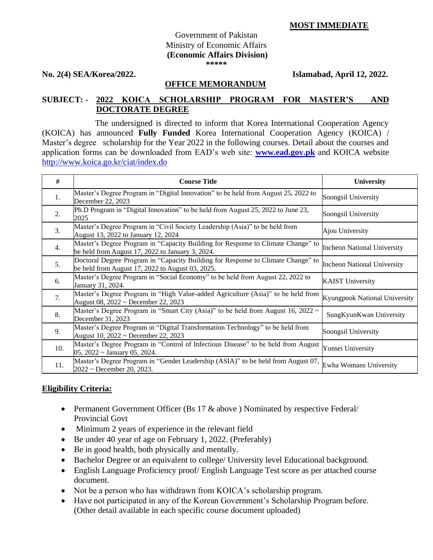## **MOST IMMEDIATE**

#### Government of Pakistan Ministry of Economic Affairs **(Economic Affairs Division) \*\*\*\*\***

**No. 2(4) SEA/Korea/2022. Islamabad, April 12, 2022.**

### **OFFICE MEMORANDUM**

# **SUBJECT: - 2022 KOICA SCHOLARSHIP PROGRAM FOR MASTER'S AND DOCTORATE DEGREE**

 The undersigned is directed to inform that Korea International Cooperation Agency (KOICA) has announced **Fully Funded** Korea International Cooperation Agency (KOICA) / Master's degree scholarship for the Year 2022 in the following courses. Detail about the courses and application forms can be downloaded from EAD's web site: **[www.ead.gov.pk](http://www.ead.gov.pk/)** and KOICA website <http://www.koica.go.kr/ciat/index.do> ٦

| #                | <b>Course Title</b>                                                                                                                    | University                         |
|------------------|----------------------------------------------------------------------------------------------------------------------------------------|------------------------------------|
| 1.               | Master's Degree Program in "Digital Innovation" to be held from August 25, 2022 to<br>December 22, 2023                                | Soongsil University                |
| 2.               | Ph.D Program in "Digital Innovation" to be held from August 25, 2022 to June 23,<br>2025                                               | Soongsil University                |
| 3.               | Master's Degree Program in "Civil Society Leadership (Asia)" to be held from<br>August 13, 2022 to January 12, 2024                    | Ajou University                    |
| $\overline{4}$ . | Master's Degree Program in "Capacity Building for Response to Climate Change" to<br>be held from August 17, 2022 to January 3, 2024.   | <b>Incheon National University</b> |
| 5.               | Doctoral Degree Program in "Capacity Building for Response to Climate Change" to<br>be held from August $17, 2022$ to August 03, 2025. | <b>Incheon National University</b> |
| 6.               | Master's Degree Program in "Social Economy" to be held from August 22, 2022 to<br>January 31, 2024.                                    | <b>KAIST University</b>            |
| 7.               | Master's Degree Program in "High Value-added Agriculture (Asia)" to be held from<br>August 08, 2022 ~ December 22, 2023                | Kyungpook National University      |
| 8.               | Master's Degree Program in "Smart City (Asia)" to be held from August 16, 2022 $\sim$<br>December 31, 2023                             | SungKyunKwan University            |
| 9.               | Master's Degree Program in "Digital Transformation Technology" to be held from<br>August 10, 2022 ~ December 22, 2023                  | Soongsil University                |
| 10.              | Master's Degree Program in "Control of Infectious Disease" to be held from August<br>$05, 2022$ ~ January 05, 2024.                    | Yonsei University                  |
| 11.              | Master's Degree Program in "Gender Leadership (ASIA)" to be held from August 07,<br>$2022$ ~ December 20, 2023.                        | Ewha Womans University             |

## **Eligibility Criteria:**

- Permanent Government Officer (Bs 17 & above) Nominated by respective Federal/ Provincial Govt
- Minimum 2 years of experience in the relevant field
- Be under 40 year of age on February 1, 2022. (Preferably)
- Be in good health, both physically and mentally.
- Bachelor Degree or an equivalent to college/ University level Educational background.
- English Language Proficiency proof/ English Language Test score as per attached course document.
- Not be a person who has withdrawn from KOICA's scholarship program.
- Have not participated in any of the Korean Government's Scholarship Program before. (Other detail available in each specific course document uploaded)